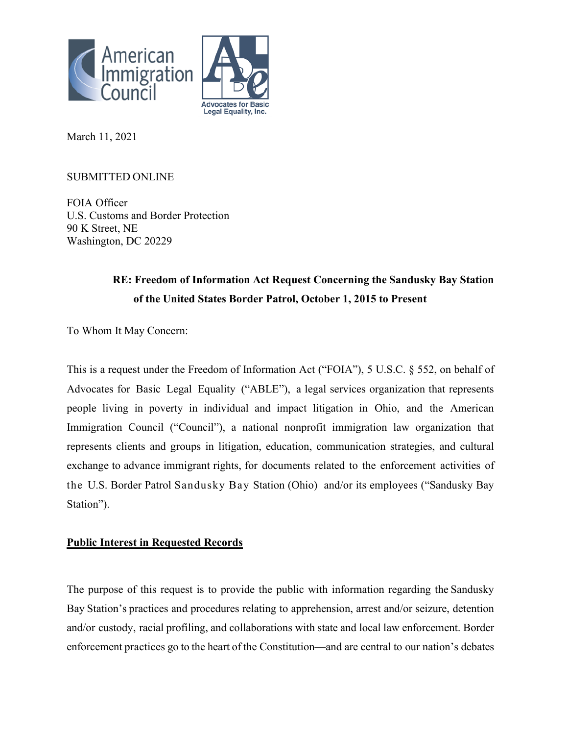



March 11, 2021

## SUBMITTED ONLINE

FOIA Officer U.S. Customs and Border Protection 90 K Street, NE Washington, DC 20229

# **RE: Freedom of Information Act Request Concerning the Sandusky Bay Station of the United States Border Patrol, October 1, 2015 to Present**

To Whom It May Concern:

This is a request under the Freedom of Information Act ("FOIA"), 5 U.S.C. § 552, on behalf of Advocates for Basic Legal Equality ("ABLE"), a legal services organization that represents people living in poverty in individual and impact litigation in Ohio, and the American Immigration Council ("Council"), a national nonprofit immigration law organization that represents clients and groups in litigation, education, communication strategies, and cultural exchange to advance immigrant rights, for documents related to the enforcement activities of the U.S. Border Patrol Sandusky Bay Station (Ohio) and/or its employees ("Sandusky Bay Station").

## **Public Interest in Requested Records**

The purpose of this request is to provide the public with information regarding the Sandusky Bay Station's practices and procedures relating to apprehension, arrest and/or seizure, detention and/or custody, racial profiling, and collaborations with state and local law enforcement. Border enforcement practices go to the heart of the Constitution—and are central to our nation's debates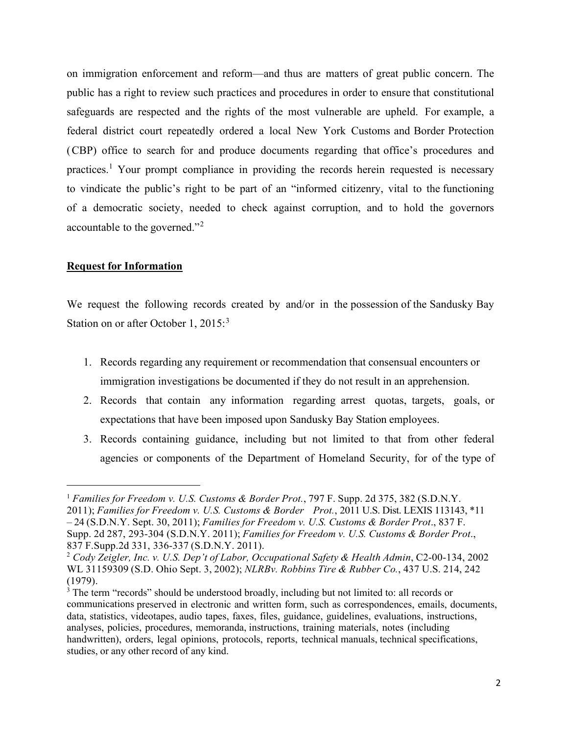on immigration enforcement and reform—and thus are matters of great public concern. The public has a right to review such practices and procedures in order to ensure that constitutional safeguards are respected and the rights of the most vulnerable are upheld. For example, a federal district court repeatedly ordered a local New York Customs and Border Protection (CBP) office to search for and produce documents regarding that office's procedures and practices.[1](#page-1-0) Your prompt compliance in providing the records herein requested is necessary to vindicate the public's right to be part of an "informed citizenry, vital to the functioning of a democratic society, needed to check against corruption, and to hold the governors accountable to the governed."[2](#page-1-1)

### **Request for Information**

We request the following records created by and/or in the possession of the Sandusky Bay Station on or after October 1, 2015:<sup>[3](#page-1-2)</sup>

- 1. Records regarding any requirement or recommendation that consensual encounters or immigration investigations be documented if they do not result in an apprehension.
- 2. Records that contain any information regarding arrest quotas, targets, goals, or expectations that have been imposed upon Sandusky Bay Station employees.
- 3. Records containing guidance, including but not limited to that from other federal agencies or components of the Department of Homeland Security, for of the type of

<span id="page-1-0"></span><sup>1</sup> *Families for Freedom v. U.S. Customs & Border Prot.*, 797 F. Supp. 2d 375, 382 (S.D.N.Y. 2011); *Families for Freedom v. U.S. Customs & Border Prot.*, 2011 U.S. Dist. LEXIS 113143, \*11 – 24 (S.D.N.Y. Sept. 30, 2011); *Families for Freedom v. U.S. Customs & Border Prot*., 837 F. Supp. 2d 287, 293-304 (S.D.N.Y. 2011); *Families for Freedom v. U.S. Customs & Border Prot*., 837 F.Supp.2d 331, 336-337 (S.D.N.Y. 2011).

<span id="page-1-1"></span><sup>2</sup> *Cody Zeigler, Inc. v. U.S. Dep't of Labor, Occupational Safety & Health Admin*, C2-00-134, 2002 WL 31159309 (S.D. Ohio Sept. 3, 2002); *NLRBv. Robbins Tire & Rubber Co.*, 437 U.S. 214, 242 (1979).

<span id="page-1-2"></span><sup>&</sup>lt;sup>3</sup> The term "records" should be understood broadly, including but not limited to: all records or communications preserved in electronic and written form, such as correspondences, emails, documents, data, statistics, videotapes, audio tapes, faxes, files, guidance, guidelines, evaluations, instructions, analyses, policies, procedures, memoranda, instructions, training materials, notes (including handwritten), orders, legal opinions, protocols, reports, technical manuals, technical specifications, studies, or any other record of any kind.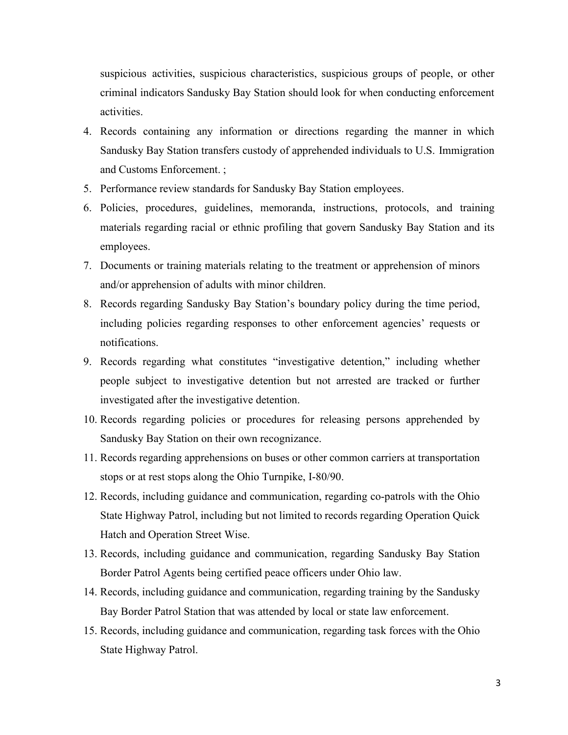suspicious activities, suspicious characteristics, suspicious groups of people, or other criminal indicators Sandusky Bay Station should look for when conducting enforcement activities.

- 4. Records containing any information or directions regarding the manner in which Sandusky Bay Station transfers custody of apprehended individuals to U.S. Immigration and Customs Enforcement. ;
- 5. Performance review standards for Sandusky Bay Station employees.
- 6. Policies, procedures, guidelines, memoranda, instructions, protocols, and training materials regarding racial or ethnic profiling that govern Sandusky Bay Station and its employees.
- 7. Documents or training materials relating to the treatment or apprehension of minors and/or apprehension of adults with minor children.
- 8. Records regarding Sandusky Bay Station's boundary policy during the time period, including policies regarding responses to other enforcement agencies' requests or notifications.
- 9. Records regarding what constitutes "investigative detention," including whether people subject to investigative detention but not arrested are tracked or further investigated after the investigative detention.
- 10. Records regarding policies or procedures for releasing persons apprehended by Sandusky Bay Station on their own recognizance.
- 11. Records regarding apprehensions on buses or other common carriers at transportation stops or at rest stops along the Ohio Turnpike, I-80/90.
- 12. Records, including guidance and communication, regarding co-patrols with the Ohio State Highway Patrol, including but not limited to records regarding Operation Quick Hatch and Operation Street Wise.
- 13. Records, including guidance and communication, regarding Sandusky Bay Station Border Patrol Agents being certified peace officers under Ohio law.
- 14. Records, including guidance and communication, regarding training by the Sandusky Bay Border Patrol Station that was attended by local or state law enforcement.
- 15. Records, including guidance and communication, regarding task forces with the Ohio State Highway Patrol.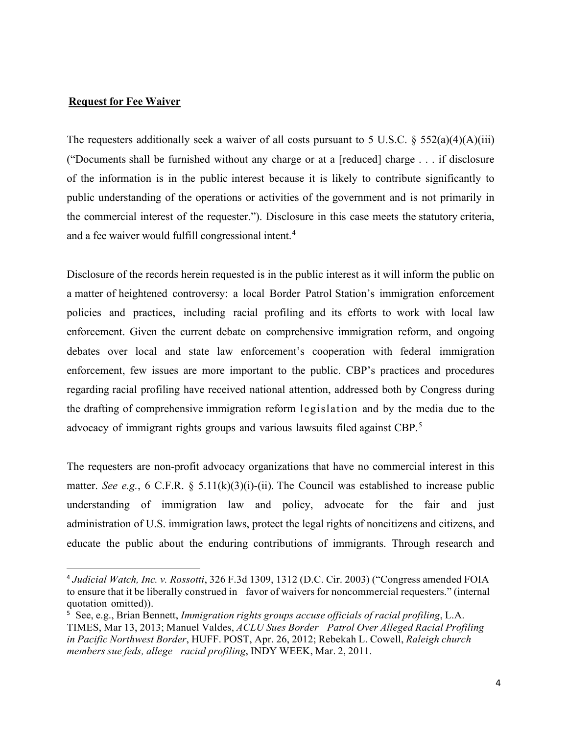### **Request for Fee Waiver**

The requesters additionally seek a waiver of all costs pursuant to 5 U.S.C. § 552(a)(4)(A)(iii) ("Documents shall be furnished without any charge or at a [reduced] charge . . . if disclosure of the information is in the public interest because it is likely to contribute significantly to public understanding of the operations or activities of the government and is not primarily in the commercial interest of the requester."). Disclosure in this case meets the statutory criteria, and a fee waiver would fulfill congressional intent.<sup>[4](#page-3-0)</sup>

Disclosure of the records herein requested is in the public interest as it will inform the public on a matter of heightened controversy: a local Border Patrol Station's immigration enforcement policies and practices, including racial profiling and its efforts to work with local law enforcement. Given the current debate on comprehensive immigration reform, and ongoing debates over local and state law enforcement's cooperation with federal immigration enforcement, few issues are more important to the public. CBP's practices and procedures regarding racial profiling have received national attention, addressed both by Congress during the drafting of comprehensive immigration reform legislation and by the media due to the advocacy of immigrant rights groups and various lawsuits filed against CBP.<sup>[5](#page-3-1)</sup>

The requesters are non-profit advocacy organizations that have no commercial interest in this matter. *See e.g.*, 6 C.F.R. § 5.11(k)(3)(i)-(ii). The Council was established to increase public understanding of immigration law and policy, advocate for the fair and just administration of U.S. immigration laws, protect the legal rights of noncitizens and citizens, and educate the public about the enduring contributions of immigrants. Through research and

<span id="page-3-0"></span><sup>4</sup> *Judicial Watch, Inc. v. Rossotti*, 326 F.3d 1309, 1312 (D.C. Cir. 2003) ("Congress amended FOIA to ensure that it be liberally construed in favor of waivers for noncommercial requesters." (internal quotation omitted)).

<span id="page-3-1"></span><sup>5</sup> See, e.g., Brian Bennett, *Immigration rights groups accuse officials of racial profiling*, L.A. TIMES, Mar 13, 2013; Manuel Valdes, *ACLU Sues Border Patrol Over Alleged Racial Profiling in Pacific Northwest Border*, HUFF. POST, Apr. 26, 2012; Rebekah L. Cowell, *Raleigh church members sue feds, allege racial profiling*, INDY WEEK, Mar. 2, 2011.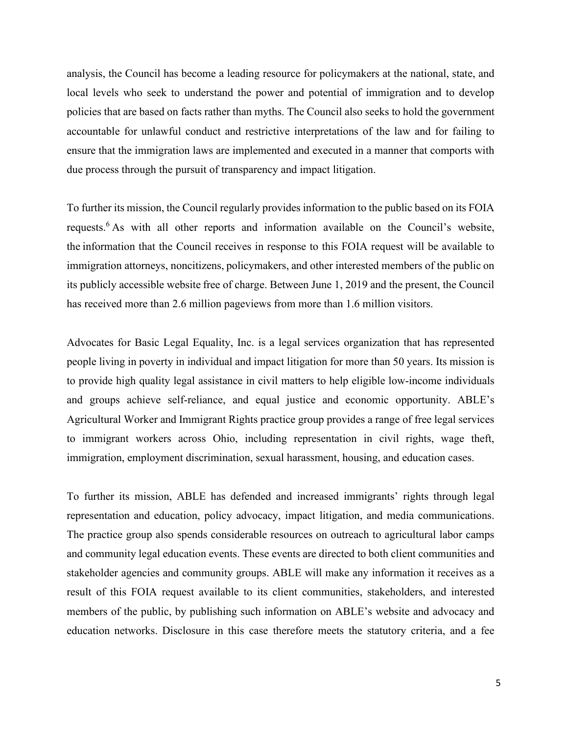analysis, the Council has become a leading resource for policymakers at the national, state, and local levels who seek to understand the power and potential of immigration and to develop policies that are based on facts rather than myths. The Council also seeks to hold the government accountable for unlawful conduct and restrictive interpretations of the law and for failing to ensure that the immigration laws are implemented and executed in a manner that comports with due process through the pursuit of transparency and impact litigation.  

To further its mission, the Council regularly provides information to the public based on its FOIA requests.<sup>6</sup> As with all other reports and information available on the Council's website, the information that the Council receives in response to this FOIA request will be available to immigration attorneys, noncitizens, policymakers, and other interested members of the public on its publicly accessible website free of charge. Between June 1, 2019 and the present, the Council has received more than 2.6 million pageviews from more than 1.6 million visitors.  

Advocates for Basic Legal Equality, Inc. is a legal services organization that has represented people living in poverty in individual and impact litigation for more than 50 years. Its mission is to provide high quality legal assistance in civil matters to help eligible low-income individuals and groups achieve self-reliance, and equal justice and economic opportunity. ABLE's Agricultural Worker and Immigrant Rights practice group provides a range of free legal services to immigrant workers across Ohio, including representation in civil rights, wage theft, immigration, employment discrimination, sexual harassment, housing, and education cases.

To further its mission, ABLE has defended and increased immigrants' rights through legal representation and education, policy advocacy, impact litigation, and media communications. The practice group also spends considerable resources on outreach to agricultural labor camps and community legal education events. These events are directed to both client communities and stakeholder agencies and community groups. ABLE will make any information it receives as a result of this FOIA request available to its client communities, stakeholders, and interested members of the public, by publishing such information on ABLE's website and advocacy and education networks. Disclosure in this case therefore meets the statutory criteria, and a fee